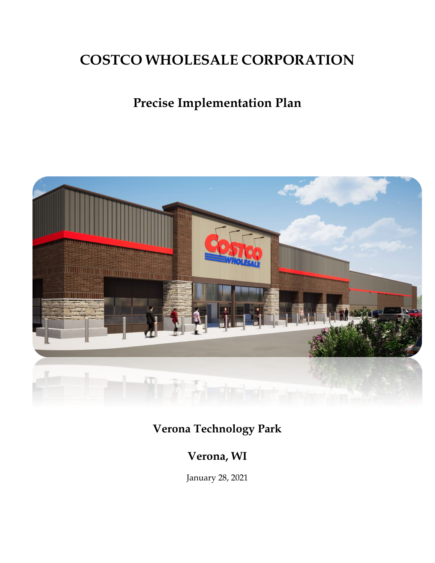# **COSTCO WHOLESALE CORPORATION**

# **Precise Implementation Plan**



# **Verona Technology Park**

# **Verona, WI**

January 28, 2021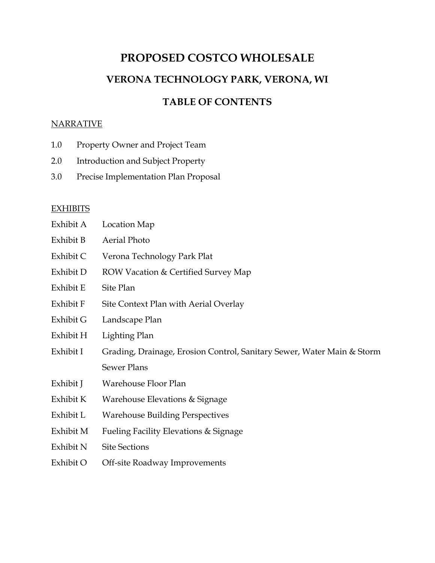# **PROPOSED COSTCO WHOLESALE VERONA TECHNOLOGY PARK, VERONA, WI**

### **TABLE OF CONTENTS**

#### **NARRATIVE**

- 1.0 Property Owner and Project Team
- 2.0 Introduction and Subject Property
- 3.0 Precise Implementation Plan Proposal

#### **EXHIBITS**

| Exhibit A | Location Map                                                           |  |  |
|-----------|------------------------------------------------------------------------|--|--|
| Exhibit B | Aerial Photo                                                           |  |  |
| Exhibit C | Verona Technology Park Plat                                            |  |  |
| Exhibit D | ROW Vacation & Certified Survey Map                                    |  |  |
| Exhibit E | Site Plan                                                              |  |  |
| Exhibit F | Site Context Plan with Aerial Overlay                                  |  |  |
| Exhibit G | Landscape Plan                                                         |  |  |
| Exhibit H | Lighting Plan                                                          |  |  |
| Exhibit I | Grading, Drainage, Erosion Control, Sanitary Sewer, Water Main & Storm |  |  |
|           | <b>Sewer Plans</b>                                                     |  |  |
| Exhibit J | Warehouse Floor Plan                                                   |  |  |
| Exhibit K | Warehouse Elevations & Signage                                         |  |  |
| Exhibit L | <b>Warehouse Building Perspectives</b>                                 |  |  |
| Exhibit M | Fueling Facility Elevations & Signage                                  |  |  |
| Exhibit N | <b>Site Sections</b>                                                   |  |  |
| Exhibit O | Off-site Roadway Improvements                                          |  |  |
|           |                                                                        |  |  |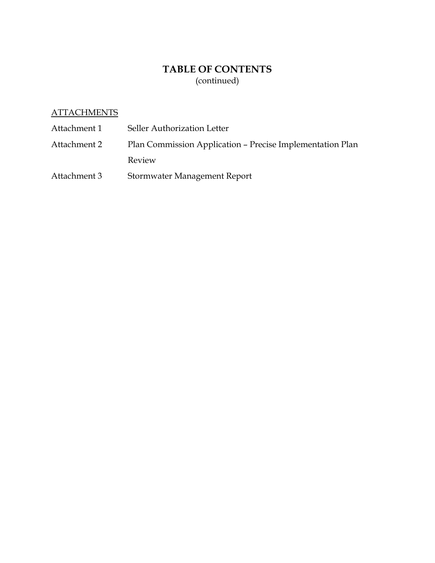## **TABLE OF CONTENTS** (continued)

#### **ATTACHMENTS**

| Attachment 1 | Seller Authorization Letter                               |
|--------------|-----------------------------------------------------------|
| Attachment 2 | Plan Commission Application – Precise Implementation Plan |
|              | Review                                                    |
| Attachment 3 | Stormwater Management Report                              |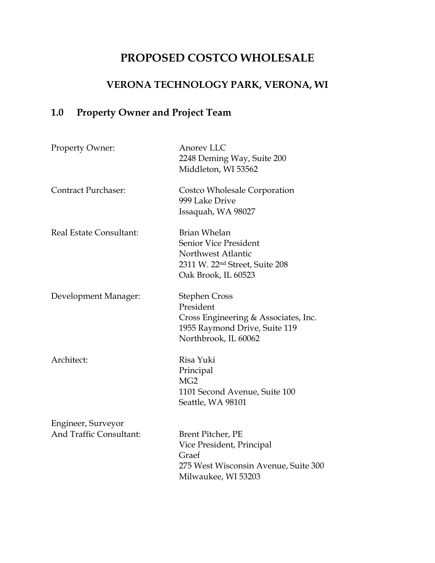# **PROPOSED COSTCO WHOLESALE**

## **VERONA TECHNOLOGY PARK, VERONA, WI**

# **1.0 Property Owner and Project Team**

| Property Owner:            | Anorev LLC<br>2248 Deming Way, Suite 200<br>Middleton, WI 53562                                                                         |
|----------------------------|-----------------------------------------------------------------------------------------------------------------------------------------|
| <b>Contract Purchaser:</b> | Costco Wholesale Corporation<br>999 Lake Drive<br>Issaquah, WA 98027                                                                    |
| Real Estate Consultant:    | <b>Brian Whelan</b><br>Senior Vice President<br>Northwest Atlantic<br>2311 W. 22 <sup>nd</sup> Street, Suite 208<br>Oak Brook, IL 60523 |
| Development Manager:       | <b>Stephen Cross</b><br>President<br>Cross Engineering & Associates, Inc.<br>1955 Raymond Drive, Suite 119<br>Northbrook, IL 60062      |
| Architect:                 | Risa Yuki<br>Principal<br>MG <sub>2</sub><br>1101 Second Avenue, Suite 100<br>Seattle, WA 98101                                         |
| Engineer, Surveyor         |                                                                                                                                         |
| And Traffic Consultant:    | Brent Pitcher, PE<br>Vice President, Principal<br>Graef<br>275 West Wisconsin Avenue, Suite 300<br>Milwaukee, WI 53203                  |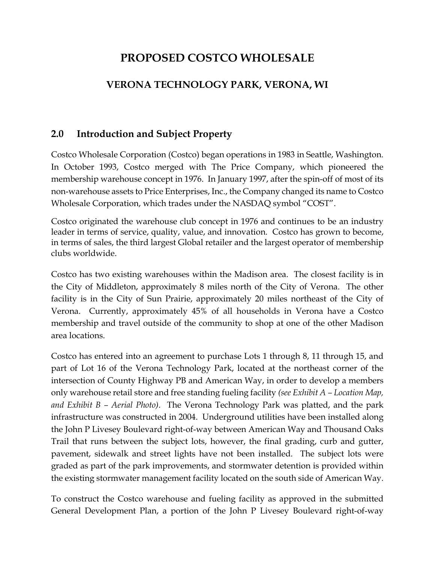# **PROPOSED COSTCO WHOLESALE**

## **VERONA TECHNOLOGY PARK, VERONA, WI**

### **2.0 Introduction and Subject Property**

Costco Wholesale Corporation (Costco) began operations in 1983 in Seattle, Washington. In October 1993, Costco merged with The Price Company, which pioneered the membership warehouse concept in 1976. In January 1997, after the spin-off of most of its non-warehouse assets to Price Enterprises, Inc., the Company changed its name to Costco Wholesale Corporation, which trades under the NASDAQ symbol "COST".

Costco originated the warehouse club concept in 1976 and continues to be an industry leader in terms of service, quality, value, and innovation. Costco has grown to become, in terms of sales, the third largest Global retailer and the largest operator of membership clubs worldwide.

Costco has two existing warehouses within the Madison area. The closest facility is in the City of Middleton, approximately 8 miles north of the City of Verona. The other facility is in the City of Sun Prairie, approximately 20 miles northeast of the City of Verona. Currently, approximately 45% of all households in Verona have a Costco membership and travel outside of the community to shop at one of the other Madison area locations.

Costco has entered into an agreement to purchase Lots 1 through 8, 11 through 15, and part of Lot 16 of the Verona Technology Park, located at the northeast corner of the intersection of County Highway PB and American Way, in order to develop a members only warehouse retail store and free standing fueling facility *(see Exhibit A – Location Map, and Exhibit B – Aerial Photo)*. The Verona Technology Park was platted, and the park infrastructure was constructed in 2004. Underground utilities have been installed along the John P Livesey Boulevard right-of-way between American Way and Thousand Oaks Trail that runs between the subject lots, however, the final grading, curb and gutter, pavement, sidewalk and street lights have not been installed. The subject lots were graded as part of the park improvements, and stormwater detention is provided within the existing stormwater management facility located on the south side of American Way.

To construct the Costco warehouse and fueling facility as approved in the submitted General Development Plan, a portion of the John P Livesey Boulevard right-of-way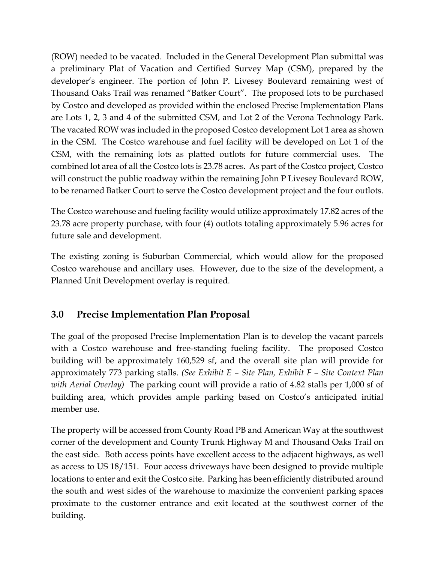(ROW) needed to be vacated. Included in the General Development Plan submittal was a preliminary Plat of Vacation and Certified Survey Map (CSM), prepared by the developer's engineer. The portion of John P. Livesey Boulevard remaining west of Thousand Oaks Trail was renamed "Batker Court". The proposed lots to be purchased by Costco and developed as provided within the enclosed Precise Implementation Plans are Lots 1, 2, 3 and 4 of the submitted CSM, and Lot 2 of the Verona Technology Park. The vacated ROW was included in the proposed Costco development Lot 1 area as shown in the CSM. The Costco warehouse and fuel facility will be developed on Lot 1 of the CSM, with the remaining lots as platted outlots for future commercial uses. The combined lot area of all the Costco lots is 23.78 acres. As part of the Costco project, Costco will construct the public roadway within the remaining John P Livesey Boulevard ROW, to be renamed Batker Court to serve the Costco development project and the four outlots.

The Costco warehouse and fueling facility would utilize approximately 17.82 acres of the 23.78 acre property purchase, with four (4) outlots totaling approximately 5.96 acres for future sale and development.

The existing zoning is Suburban Commercial, which would allow for the proposed Costco warehouse and ancillary uses. However, due to the size of the development, a Planned Unit Development overlay is required.

### **3.0 Precise Implementation Plan Proposal**

The goal of the proposed Precise Implementation Plan is to develop the vacant parcels with a Costco warehouse and free-standing fueling facility. The proposed Costco building will be approximately 160,529 sf, and the overall site plan will provide for approximately 773 parking stalls. *(See Exhibit E – Site Plan, Exhibit F – Site Context Plan with Aerial Overlay)* The parking count will provide a ratio of 4.82 stalls per 1,000 sf of building area, which provides ample parking based on Costco's anticipated initial member use.

The property will be accessed from County Road PB and American Way at the southwest corner of the development and County Trunk Highway M and Thousand Oaks Trail on the east side. Both access points have excellent access to the adjacent highways, as well as access to US 18/151. Four access driveways have been designed to provide multiple locations to enter and exit the Costco site. Parking has been efficiently distributed around the south and west sides of the warehouse to maximize the convenient parking spaces proximate to the customer entrance and exit located at the southwest corner of the building.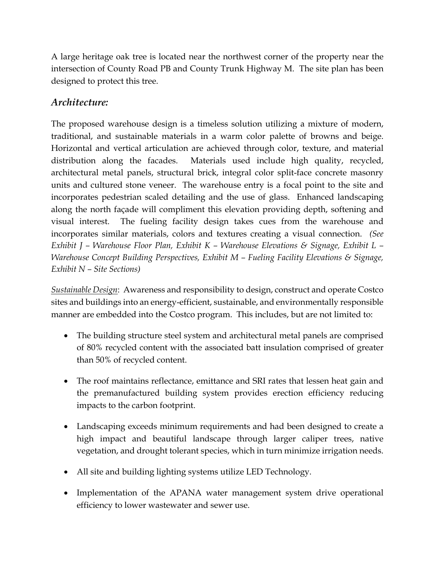A large heritage oak tree is located near the northwest corner of the property near the intersection of County Road PB and County Trunk Highway M. The site plan has been designed to protect this tree.

### *Architecture:*

The proposed warehouse design is a timeless solution utilizing a mixture of modern, traditional, and sustainable materials in a warm color palette of browns and beige. Horizontal and vertical articulation are achieved through color, texture, and material distribution along the facades. Materials used include high quality, recycled, architectural metal panels, structural brick, integral color split-face concrete masonry units and cultured stone veneer. The warehouse entry is a focal point to the site and incorporates pedestrian scaled detailing and the use of glass. Enhanced landscaping along the north façade will compliment this elevation providing depth, softening and visual interest. The fueling facility design takes cues from the warehouse and incorporates similar materials, colors and textures creating a visual connection. *(See Exhibit J – Warehouse Floor Plan, Exhibit K – Warehouse Elevations & Signage, Exhibit L – Warehouse Concept Building Perspectives, Exhibit M – Fueling Facility Elevations & Signage, Exhibit N – Site Sections)*

*Sustainable Design*: Awareness and responsibility to design, construct and operate Costco sites and buildings into an energy-efficient, sustainable, and environmentally responsible manner are embedded into the Costco program. This includes, but are not limited to:

- The building structure steel system and architectural metal panels are comprised of 80% recycled content with the associated batt insulation comprised of greater than 50% of recycled content.
- The roof maintains reflectance, emittance and SRI rates that lessen heat gain and the premanufactured building system provides erection efficiency reducing impacts to the carbon footprint.
- Landscaping exceeds minimum requirements and had been designed to create a high impact and beautiful landscape through larger caliper trees, native vegetation, and drought tolerant species, which in turn minimize irrigation needs.
- All site and building lighting systems utilize LED Technology.
- Implementation of the APANA water management system drive operational efficiency to lower wastewater and sewer use.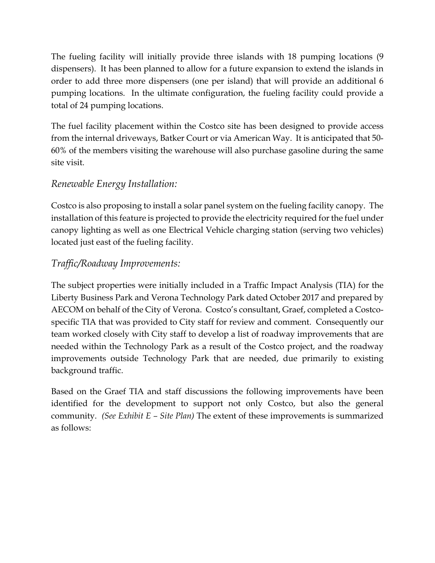The fueling facility will initially provide three islands with 18 pumping locations (9 dispensers). It has been planned to allow for a future expansion to extend the islands in order to add three more dispensers (one per island) that will provide an additional 6 pumping locations. In the ultimate configuration, the fueling facility could provide a total of 24 pumping locations.

The fuel facility placement within the Costco site has been designed to provide access from the internal driveways, Batker Court or via American Way. It is anticipated that 50- 60% of the members visiting the warehouse will also purchase gasoline during the same site visit.

### *Renewable Energy Installation:*

Costco is also proposing to install a solar panel system on the fueling facility canopy. The installation of this feature is projected to provide the electricity required for the fuel under canopy lighting as well as one Electrical Vehicle charging station (serving two vehicles) located just east of the fueling facility.

### *Traffic/Roadway Improvements:*

The subject properties were initially included in a Traffic Impact Analysis (TIA) for the Liberty Business Park and Verona Technology Park dated October 2017 and prepared by AECOM on behalf of the City of Verona. Costco's consultant, Graef, completed a Costcospecific TIA that was provided to City staff for review and comment. Consequently our team worked closely with City staff to develop a list of roadway improvements that are needed within the Technology Park as a result of the Costco project, and the roadway improvements outside Technology Park that are needed, due primarily to existing background traffic.

Based on the Graef TIA and staff discussions the following improvements have been identified for the development to support not only Costco, but also the general community. *(See Exhibit E – Site Plan)* The extent of these improvements is summarized as follows: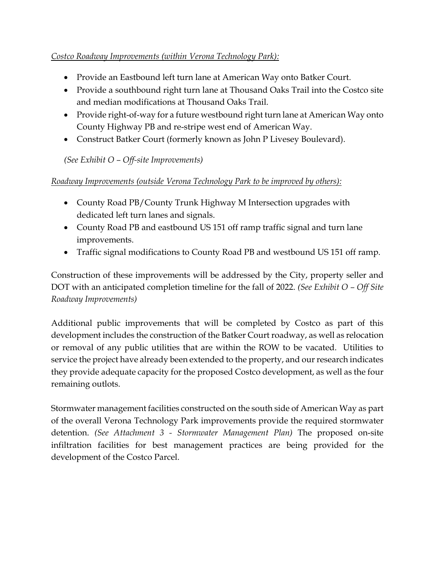#### *Costco Roadway Improvements (within Verona Technology Park):*

- Provide an Eastbound left turn lane at American Way onto Batker Court.
- Provide a southbound right turn lane at Thousand Oaks Trail into the Costco site and median modifications at Thousand Oaks Trail.
- Provide right-of-way for a future westbound right turn lane at American Way onto County Highway PB and re-stripe west end of American Way.
- Construct Batker Court (formerly known as John P Livesey Boulevard).

*(See Exhibit O – Off-site Improvements)*

#### *Roadway Improvements (outside Verona Technology Park to be improved by others):*

- County Road PB/County Trunk Highway M Intersection upgrades with dedicated left turn lanes and signals.
- County Road PB and eastbound US 151 off ramp traffic signal and turn lane improvements.
- Traffic signal modifications to County Road PB and westbound US 151 off ramp.

Construction of these improvements will be addressed by the City, property seller and DOT with an anticipated completion timeline for the fall of 2022. *(See Exhibit O – Off Site Roadway Improvements)*

Additional public improvements that will be completed by Costco as part of this development includes the construction of the Batker Court roadway, as well as relocation or removal of any public utilities that are within the ROW to be vacated. Utilities to service the project have already been extended to the property, and our research indicates they provide adequate capacity for the proposed Costco development, as well as the four remaining outlots.

Stormwater management facilities constructed on the south side of American Way as part of the overall Verona Technology Park improvements provide the required stormwater detention. *(See Attachment 3 - Stormwater Management Plan)* The proposed on-site infiltration facilities for best management practices are being provided for the development of the Costco Parcel.